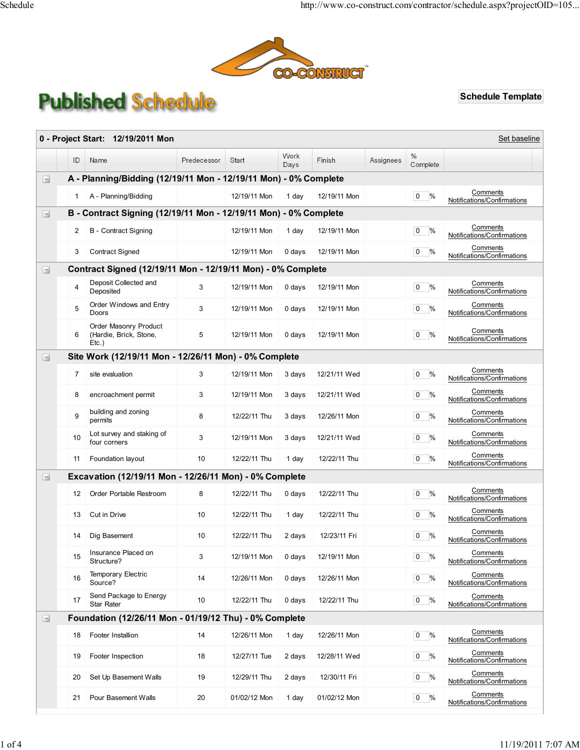

## **Published Schedule**

Schedule Template

| Set baseline<br>0 - Project Start: 12/19/2011 Mon |                                                                  |                                                                  |             |              |              |              |           |                           |                                         |  |  |
|---------------------------------------------------|------------------------------------------------------------------|------------------------------------------------------------------|-------------|--------------|--------------|--------------|-----------|---------------------------|-----------------------------------------|--|--|
|                                                   | ID                                                               | Name                                                             | Predecessor | Start        | Work<br>Days | Finish       | Assignees | $\frac{0}{0}$<br>Complete |                                         |  |  |
| $\Box$                                            | A - Planning/Bidding (12/19/11 Mon - 12/19/11 Mon) - 0% Complete |                                                                  |             |              |              |              |           |                           |                                         |  |  |
|                                                   | 1                                                                | A - Planning/Bidding                                             |             | 12/19/11 Mon | 1 day        | 12/19/11 Mon |           | %<br>$\mathbf{0}$         | Comments<br>Notifications/Confirmations |  |  |
| $\equiv$                                          |                                                                  | B - Contract Signing (12/19/11 Mon - 12/19/11 Mon) - 0% Complete |             |              |              |              |           |                           |                                         |  |  |
|                                                   | 2                                                                | <b>B</b> - Contract Signing                                      |             | 12/19/11 Mon | 1 day        | 12/19/11 Mon |           | %<br>$\mathbf{0}$         | Comments<br>Notifications/Confirmations |  |  |
|                                                   | 3                                                                | <b>Contract Signed</b>                                           |             | 12/19/11 Mon | 0 days       | 12/19/11 Mon |           | $0\frac{9}{6}$            | Comments<br>Notifications/Confirmations |  |  |
| $\Box$                                            |                                                                  | Contract Signed (12/19/11 Mon - 12/19/11 Mon) - 0% Complete      |             |              |              |              |           |                           |                                         |  |  |
|                                                   | 4                                                                | Deposit Collected and<br>Deposited                               | 3           | 12/19/11 Mon | 0 days       | 12/19/11 Mon |           | %<br>$\mathbf 0$          | Comments<br>Notifications/Confirmations |  |  |
|                                                   | 5                                                                | Order Windows and Entry<br>Doors                                 | 3           | 12/19/11 Mon | 0 days       | 12/19/11 Mon |           | $0\frac{9}{6}$            | Comments<br>Notifications/Confirmations |  |  |
|                                                   | 6                                                                | Order Masonry Product<br>(Hardie, Brick, Stone,<br>$Etc.$ )      | 5           | 12/19/11 Mon | 0 days       | 12/19/11 Mon |           | %<br>$\mathbf{0}$         | Comments<br>Notifications/Confirmations |  |  |
| Ξ                                                 |                                                                  | Site Work (12/19/11 Mon - 12/26/11 Mon) - 0% Complete            |             |              |              |              |           |                           |                                         |  |  |
|                                                   | 7                                                                | site evaluation                                                  | 3           | 12/19/11 Mon | 3 days       | 12/21/11 Wed |           | $0\frac{9}{6}$            | Comments<br>Notifications/Confirmations |  |  |
|                                                   | 8                                                                | encroachment permit                                              | 3           | 12/19/11 Mon | 3 days       | 12/21/11 Wed |           | $0\frac{9}{6}$            | Comments<br>Notifications/Confirmations |  |  |
|                                                   | 9                                                                | building and zoning<br>permits                                   | 8           | 12/22/11 Thu | 3 days       | 12/26/11 Mon |           | $0\frac{9}{6}$            | Comments<br>Notifications/Confirmations |  |  |
|                                                   | 10                                                               | Lot survey and staking of<br>four corners                        | 3           | 12/19/11 Mon | 3 days       | 12/21/11 Wed |           | %<br>$\mathbf{0}$         | Comments<br>Notifications/Confirmations |  |  |
|                                                   | 11                                                               | Foundation layout                                                | 10          | 12/22/11 Thu | 1 day        | 12/22/11 Thu |           | $0\frac{9}{6}$            | Comments<br>Notifications/Confirmations |  |  |
| $\Box$                                            |                                                                  | Excavation (12/19/11 Mon - 12/26/11 Mon) - 0% Complete           |             |              |              |              |           |                           |                                         |  |  |
|                                                   | 12                                                               | Order Portable Restroom                                          | 8           | 12/22/11 Thu | 0 days       | 12/22/11 Thu |           | %<br>$\mathbf{0}$         | Comments<br>Notifications/Confirmations |  |  |
|                                                   | 13                                                               | Cut in Drive                                                     | 10          | 12/22/11 Thu | 1 day        | 12/22/11 Thu |           | %<br>$\mathbf{0}$         | Comments<br>Notifications/Confirmations |  |  |
|                                                   | 14                                                               | Dig Basement                                                     | 10          | 12/22/11 Thu | 2 days       | 12/23/11 Fri |           | 0<br>%                    | Comments<br>Notifications/Confirmations |  |  |
|                                                   | 15                                                               | Insurance Placed on<br>Structure?                                | 3           | 12/19/11 Mon | 0 days       | 12/19/11 Mon |           | $0\frac{9}{6}$            | Comments<br>Notifications/Confirmations |  |  |
|                                                   | 16                                                               | <b>Temporary Electric</b><br>Source?                             | 14          | 12/26/11 Mon | 0 days       | 12/26/11 Mon |           | $0\frac{9}{6}$            | Comments<br>Notifications/Confirmations |  |  |
|                                                   | 17                                                               | Send Package to Energy<br><b>Star Rater</b>                      | 10          | 12/22/11 Thu | 0 days       | 12/22/11 Thu |           | $0\frac{9}{6}$            | Comments<br>Notifications/Confirmations |  |  |
| Ξ                                                 | Foundation (12/26/11 Mon - 01/19/12 Thu) - 0% Complete           |                                                                  |             |              |              |              |           |                           |                                         |  |  |
|                                                   | 18                                                               | Footer Installion                                                | 14          | 12/26/11 Mon | 1 day        | 12/26/11 Mon |           | $0\frac{9}{6}$            | Comments<br>Notifications/Confirmations |  |  |
|                                                   | 19                                                               | Footer Inspection                                                | 18          | 12/27/11 Tue | 2 days       | 12/28/11 Wed |           | $0\frac{9}{6}$            | Comments<br>Notifications/Confirmations |  |  |
|                                                   | 20                                                               | Set Up Basement Walls                                            | 19          | 12/29/11 Thu | 2 days       | 12/30/11 Fri |           | $0\%$                     | Comments<br>Notifications/Confirmations |  |  |
|                                                   | 21                                                               | Pour Basement Walls                                              | 20          | 01/02/12 Mon | 1 day        | 01/02/12 Mon |           | $0\frac{9}{6}$            | Comments<br>Notifications/Confirmations |  |  |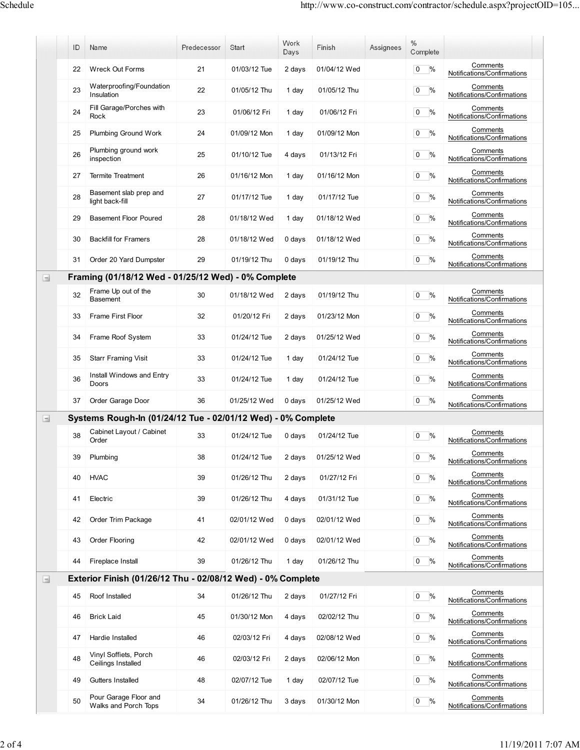|                                       | ID | Name                                                         | Predecessor | Start        | Work<br>Days | Finish       | Assignees | $\%$<br>Complete       |                                         |
|---------------------------------------|----|--------------------------------------------------------------|-------------|--------------|--------------|--------------|-----------|------------------------|-----------------------------------------|
|                                       | 22 | <b>Wreck Out Forms</b>                                       | 21          | 01/03/12 Tue | 2 days       | 01/04/12 Wed |           | %<br>0                 | Comments<br>Notifications/Confirmations |
|                                       | 23 | Waterproofing/Foundation<br>Insulation                       | 22          | 01/05/12 Thu | 1 day        | 01/05/12 Thu |           | $\overline{0}$<br>%    | Comments<br>Notifications/Confirmations |
|                                       | 24 | Fill Garage/Porches with<br>Rock                             | 23          | 01/06/12 Fri | 1 day        | 01/06/12 Fri |           | $\%$<br>$\mathbf 0$    | Comments<br>Notifications/Confirmations |
|                                       | 25 | Plumbing Ground Work                                         | 24          | 01/09/12 Mon | 1 day        | 01/09/12 Mon |           | $\%$<br>0              | Comments<br>Notifications/Confirmations |
|                                       | 26 | Plumbing ground work<br>inspection                           | 25          | 01/10/12 Tue | 4 days       | 01/13/12 Fri |           | $\mathbf 0$<br>%       | Comments<br>Notifications/Confirmations |
|                                       | 27 | <b>Termite Treatment</b>                                     | 26          | 01/16/12 Mon | 1 day        | 01/16/12 Mon |           | %<br>$\overline{0}$    | Comments<br>Notifications/Confirmations |
|                                       | 28 | Basement slab prep and<br>light back-fill                    | 27          | 01/17/12 Tue | 1 day        | 01/17/12 Tue |           | $\%$<br>$\overline{0}$ | Comments<br>Notifications/Confirmations |
|                                       | 29 | <b>Basement Floor Poured</b>                                 | 28          | 01/18/12 Wed | 1 day        | 01/18/12 Wed |           | $\%$<br>$\overline{0}$ | Comments<br>Notifications/Confirmations |
|                                       | 30 | <b>Backfill for Framers</b>                                  | 28          | 01/18/12 Wed | 0 days       | 01/18/12 Wed |           | %<br>$\overline{0}$    | Comments<br>Notifications/Confirmations |
|                                       | 31 | Order 20 Yard Dumpster                                       | 29          | 01/19/12 Thu | 0 days       | 01/19/12 Thu |           | $\mathbf 0$<br>%       | Comments<br>Notifications/Confirmations |
| $\Box$                                |    | Framing (01/18/12 Wed - 01/25/12 Wed) - 0% Complete          |             |              |              |              |           |                        |                                         |
|                                       | 32 | Frame Up out of the<br><b>Basement</b>                       | 30          | 01/18/12 Wed | 2 days       | 01/19/12 Thu |           | %<br>$\overline{0}$    | Comments<br>Notifications/Confirmations |
|                                       | 33 | Frame First Floor                                            | 32          | 01/20/12 Fri | 2 days       | 01/23/12 Mon |           | $\overline{0}$<br>%    | Comments<br>Notifications/Confirmations |
|                                       | 34 | Frame Roof System                                            | 33          | 01/24/12 Tue | 2 days       | 01/25/12 Wed |           | $\%$<br>$\overline{0}$ | Comments<br>Notifications/Confirmations |
|                                       | 35 | <b>Starr Framing Visit</b>                                   | 33          | 01/24/12 Tue | 1 day        | 01/24/12 Tue |           | $\%$<br>$\mathbf{0}$   | Comments<br>Notifications/Confirmations |
|                                       | 36 | Install Windows and Entry<br>Doors                           | 33          | 01/24/12 Tue | 1 day        | 01/24/12 Tue |           | $\overline{0}$<br>%    | Comments<br>Notifications/Confirmations |
|                                       | 37 | Order Garage Door                                            | 36          | 01/25/12 Wed | 0 days       | 01/25/12 Wed |           | $\overline{0}$<br>%    | Comments<br>Notifications/Confirmations |
| $\begin{array}{c} \hline \end{array}$ |    | Systems Rough-In (01/24/12 Tue - 02/01/12 Wed) - 0% Complete |             |              |              |              |           |                        |                                         |
|                                       | 38 | Cabinet Layout / Cabinet<br>Order                            | 33          | 01/24/12 Tue | 0 days       | 01/24/12 Tue |           | 0<br>%                 | Comments<br>Notifications/Confirmations |
|                                       | 39 | Plumbing                                                     | 38          | 01/24/12 Tue | 2 days       | 01/25/12 Wed |           | $\overline{0}$<br>$\%$ | Comments<br>Notifications/Confirmations |
|                                       | 40 | <b>HVAC</b>                                                  | 39          | 01/26/12 Thu | 2 days       | 01/27/12 Fri |           | $0\%$                  | Comments<br>Notifications/Confirmations |
|                                       | 41 | Electric                                                     | 39          | 01/26/12 Thu | 4 days       | 01/31/12 Tue |           | $0\frac{9}{6}$         | Comments<br>Notifications/Confirmations |
|                                       | 42 | Order Trim Package                                           | 41          | 02/01/12 Wed | 0 days       | 02/01/12 Wed |           | $0\%$                  | Comments<br>Notifications/Confirmations |
|                                       | 43 | Order Flooring                                               | 42          | 02/01/12 Wed | 0 days       | 02/01/12 Wed |           | $\%$<br>$\overline{0}$ | Comments<br>Notifications/Confirmations |
|                                       | 44 | Fireplace Install                                            | 39          | 01/26/12 Thu | 1 day        | 01/26/12 Thu |           | $\overline{0}$<br>$\%$ | Comments<br>Notifications/Confirmations |
| $\Box$                                |    | Exterior Finish (01/26/12 Thu - 02/08/12 Wed) - 0% Complete  |             |              |              |              |           |                        |                                         |
|                                       | 45 | Roof Installed                                               | 34          | 01/26/12 Thu | 2 days       | 01/27/12 Fri |           | %<br>$\overline{0}$    | Comments<br>Notifications/Confirmations |
|                                       | 46 | <b>Brick Laid</b>                                            | 45          | 01/30/12 Mon | 4 days       | 02/02/12 Thu |           | $\%$<br>$\overline{0}$ | Comments<br>Notifications/Confirmations |
|                                       | 47 | Hardie Installed                                             | 46          | 02/03/12 Fri | 4 days       | 02/08/12 Wed |           | $\overline{0}$<br>%    | Comments<br>Notifications/Confirmations |
|                                       | 48 | Vinyl Soffiets, Porch<br>Ceilings Installed                  | 46          | 02/03/12 Fri | 2 days       | 02/06/12 Mon |           | $\overline{0}$<br>%    | Comments<br>Notifications/Confirmations |
|                                       | 49 | Gutters Installed                                            | 48          | 02/07/12 Tue | 1 day        | 02/07/12 Tue |           | $0\frac{9}{6}$         | Comments<br>Notifications/Confirmations |
|                                       | 50 | Pour Garage Floor and<br>Walks and Porch Tops                | 34          | 01/26/12 Thu | 3 days       | 01/30/12 Mon |           | %<br>$\overline{0}$    | Comments<br>Notifications/Confirmations |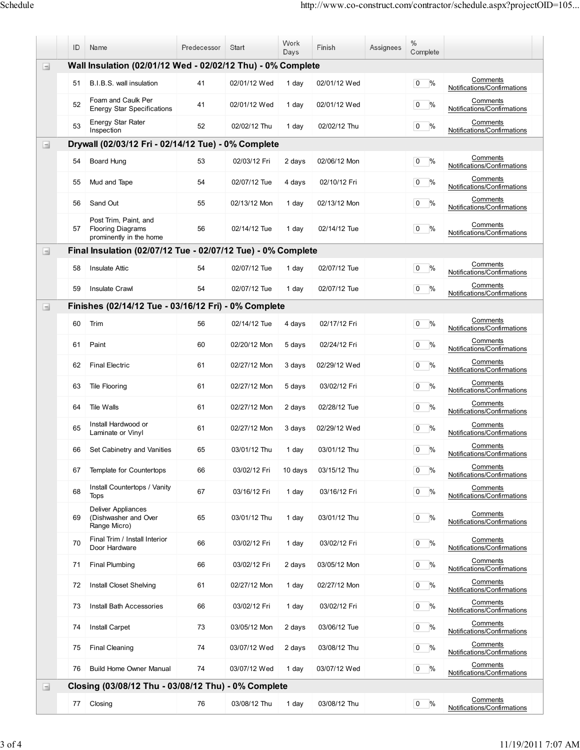|        | ID                                                          | Name                                                                         | Predecessor | Start        | Work<br>Days | Finish       | Assignees | $\frac{0}{0}$<br>Complete |                                         |  |
|--------|-------------------------------------------------------------|------------------------------------------------------------------------------|-------------|--------------|--------------|--------------|-----------|---------------------------|-----------------------------------------|--|
| $\Box$ | Wall Insulation (02/01/12 Wed - 02/02/12 Thu) - 0% Complete |                                                                              |             |              |              |              |           |                           |                                         |  |
|        | 51                                                          | B.I.B.S. wall insulation                                                     | 41          | 02/01/12 Wed | 1 day        | 02/01/12 Wed |           | $0\frac{9}{6}$            | Comments<br>Notifications/Confirmations |  |
|        | 52                                                          | Foam and Caulk Per<br><b>Energy Star Specifications</b>                      | 41          | 02/01/12 Wed | 1 day        | 02/01/12 Wed |           | $\%$<br>$\mathbf{0}$      | Comments<br>Notifications/Confirmations |  |
|        | 53                                                          | <b>Energy Star Rater</b><br>Inspection                                       | 52          | 02/02/12 Thu | 1 day        | 02/02/12 Thu |           | $0\frac{9}{6}$            | Comments<br>Notifications/Confirmations |  |
| $\Box$ |                                                             | Drywall (02/03/12 Fri - 02/14/12 Tue) - 0% Complete                          |             |              |              |              |           |                           |                                         |  |
|        | 54                                                          | Board Hung                                                                   | 53          | 02/03/12 Fri | 2 days       | 02/06/12 Mon |           | $\%$<br>0                 | Comments<br>Notifications/Confirmations |  |
|        | 55                                                          | Mud and Tape                                                                 | 54          | 02/07/12 Tue | 4 days       | 02/10/12 Fri |           | %<br>$\mathbf 0$          | Comments<br>Notifications/Confirmations |  |
|        | 56                                                          | Sand Out                                                                     | 55          | 02/13/12 Mon | 1 day        | 02/13/12 Mon |           | %<br>0                    | Comments<br>Notifications/Confirmations |  |
|        | 57                                                          | Post Trim, Paint, and<br><b>Flooring Diagrams</b><br>prominently in the home | 56          | 02/14/12 Tue | 1 day        | 02/14/12 Tue |           | $\%$<br>$\mathbf 0$       | Comments<br>Notifications/Confirmations |  |
| Ξ      |                                                             | Final Insulation (02/07/12 Tue - 02/07/12 Tue) - 0% Complete                 |             |              |              |              |           |                           |                                         |  |
|        | 58                                                          | <b>Insulate Attic</b>                                                        | 54          | 02/07/12 Tue | 1 day        | 02/07/12 Tue |           | %<br>0                    | Comments<br>Notifications/Confirmations |  |
|        | 59                                                          | <b>Insulate Crawl</b>                                                        | 54          | 02/07/12 Tue | 1 day        | 02/07/12 Tue |           | %<br>$\mathbf 0$          | Comments<br>Notifications/Confirmations |  |
| $\Box$ |                                                             | Finishes (02/14/12 Tue - 03/16/12 Fri) - 0% Complete                         |             |              |              |              |           |                           |                                         |  |
|        | 60                                                          | Trim                                                                         | 56          | 02/14/12 Tue | 4 days       | 02/17/12 Fri |           | %<br>$\mathbf 0$          | Comments<br>Notifications/Confirmations |  |
|        | 61                                                          | Paint                                                                        | 60          | 02/20/12 Mon | 5 days       | 02/24/12 Fri |           | $0\frac{9}{6}$            | Comments<br>Notifications/Confirmations |  |
|        | 62                                                          | <b>Final Electric</b>                                                        | 61          | 02/27/12 Mon | 3 days       | 02/29/12 Wed |           | $0\frac{9}{6}$            | Comments<br>Notifications/Confirmations |  |
|        | 63                                                          | <b>Tile Flooring</b>                                                         | 61          | 02/27/12 Mon | 5 days       | 03/02/12 Fri |           | $0\%$                     | Comments<br>Notifications/Confirmations |  |
|        | 64                                                          | Tile Walls                                                                   | 61          | 02/27/12 Mon | 2 days       | 02/28/12 Tue |           | %<br>$\overline{0}$       | Comments<br>Notifications/Confirmations |  |
|        | 65                                                          | Install Hardwood or<br>Laminate or Vinyl                                     | 61          | 02/27/12 Mon | 3 days       | 02/29/12 Wed |           | %<br>$\mathbf{0}$         | Comments<br>Notifications/Confirmations |  |
|        | 66                                                          | Set Cabinetry and Vanities                                                   | 65          | 03/01/12 Thu | 1 day        | 03/01/12 Thu |           | %<br>$\mathbf{0}$         | Comments<br>Notifications/Confirmations |  |
|        | 67                                                          | Template for Countertops                                                     | 66          | 03/02/12 Fri | 10 days      | 03/15/12 Thu |           | $0\%$                     | Comments<br>Notifications/Confirmations |  |
|        | 68                                                          | Install Countertops / Vanity<br><b>Tops</b>                                  | 67          | 03/16/12 Fri | 1 day        | 03/16/12 Fri |           | $0\frac{9}{6}$            | Comments<br>Notifications/Confirmations |  |
|        | 69                                                          | Deliver Appliances<br>(Dishwasher and Over<br>Range Micro)                   | 65          | 03/01/12 Thu | 1 day        | 03/01/12 Thu |           | %<br>0                    | Comments<br>Notifications/Confirmations |  |
|        | 70                                                          | Final Trim / Install Interior<br>Door Hardware                               | 66          | 03/02/12 Fri | 1 day        | 03/02/12 Fri |           | %<br>$\overline{0}$       | Comments<br>Notifications/Confirmations |  |
|        | 71                                                          | <b>Final Plumbing</b>                                                        | 66          | 03/02/12 Fri | 2 days       | 03/05/12 Mon |           | $0\frac{9}{6}$            | Comments<br>Notifications/Confirmations |  |
|        | 72                                                          | <b>Install Closet Shelving</b>                                               | 61          | 02/27/12 Mon | 1 day        | 02/27/12 Mon |           | %<br>$\mathbf{0}$         | Comments<br>Notifications/Confirmations |  |
|        | 73                                                          | <b>Install Bath Accessories</b>                                              | 66          | 03/02/12 Fri | 1 day        | 03/02/12 Fri |           | $0\%$                     | Comments<br>Notifications/Confirmations |  |
|        | 74                                                          | <b>Install Carpet</b>                                                        | 73          | 03/05/12 Mon | 2 days       | 03/06/12 Tue |           | %<br>$\mathbf{0}$         | Comments<br>Notifications/Confirmations |  |
|        | 75                                                          | <b>Final Cleaning</b>                                                        | 74          | 03/07/12 Wed | 2 days       | 03/08/12 Thu |           | %<br>$\mathbf{0}$         | Comments<br>Notifications/Confirmations |  |
|        | 76                                                          | <b>Build Home Owner Manual</b>                                               | 74          | 03/07/12 Wed | 1 day        | 03/07/12 Wed |           | $0\%$                     | Comments<br>Notifications/Confirmations |  |
| $\Box$ |                                                             | Closing (03/08/12 Thu - 03/08/12 Thu) - 0% Complete                          |             |              |              |              |           |                           |                                         |  |
|        | 77                                                          | Closing                                                                      | 76          | 03/08/12 Thu | 1 day        | 03/08/12 Thu |           | $ 0 \rangle$ %            | Comments<br>Notifications/Confirmations |  |